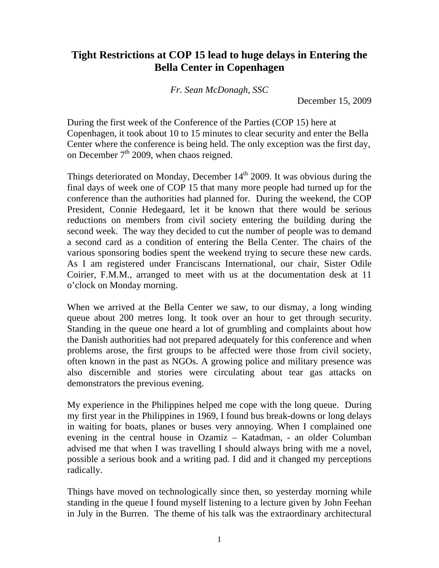## **Tight Restrictions at COP 15 lead to huge delays in Entering the Bella Center in Copenhagen**

*Fr. Sean McDonagh, SSC*

December 15, 2009

During the first week of the Conference of the Parties (COP 15) here at Copenhagen, it took about 10 to 15 minutes to clear security and enter the Bella Center where the conference is being held. The only exception was the first day, on December  $7<sup>th</sup>$  2009, when chaos reigned.

Things deteriorated on Monday, December  $14<sup>th</sup>$  2009. It was obvious during the final days of week one of COP 15 that many more people had turned up for the conference than the authorities had planned for. During the weekend, the COP President, Connie Hedegaard, let it be known that there would be serious reductions on members from civil society entering the building during the second week. The way they decided to cut the number of people was to demand a second card as a condition of entering the Bella Center. The chairs of the various sponsoring bodies spent the weekend trying to secure these new cards. As I am registered under Franciscans International, our chair, Sister Odile Coirier, F.M.M., arranged to meet with us at the documentation desk at 11 o'clock on Monday morning.

When we arrived at the Bella Center we saw, to our dismay, a long winding queue about 200 metres long. It took over an hour to get through security. Standing in the queue one heard a lot of grumbling and complaints about how the Danish authorities had not prepared adequately for this conference and when problems arose, the first groups to be affected were those from civil society, often known in the past as NGOs. A growing police and military presence was also discernible and stories were circulating about tear gas attacks on demonstrators the previous evening.

My experience in the Philippines helped me cope with the long queue. During my first year in the Philippines in 1969, I found bus break-downs or long delays in waiting for boats, planes or buses very annoying. When I complained one evening in the central house in Ozamiz – Katadman, - an older Columban advised me that when I was travelling I should always bring with me a novel, possible a serious book and a writing pad. I did and it changed my perceptions radically.

Things have moved on technologically since then, so yesterday morning while standing in the queue I found myself listening to a lecture given by John Feehan in July in the Burren. The theme of his talk was the extraordinary architectural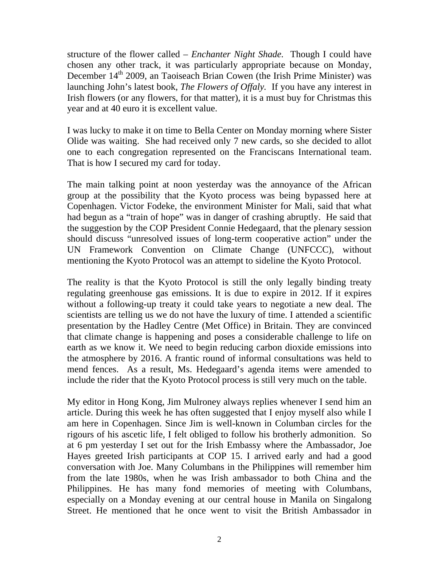structure of the flower called – *Enchanter Night Shade.* Though I could have chosen any other track, it was particularly appropriate because on Monday, December 14<sup>th</sup> 2009, an Taoiseach Brian Cowen (the Irish Prime Minister) was launching John's latest book, *The Flowers of Offaly.* If you have any interest in Irish flowers (or any flowers, for that matter), it is a must buy for Christmas this year and at 40 euro it is excellent value.

I was lucky to make it on time to Bella Center on Monday morning where Sister Olide was waiting. She had received only 7 new cards, so she decided to allot one to each congregation represented on the Franciscans International team. That is how I secured my card for today.

The main talking point at noon yesterday was the annoyance of the African group at the possibility that the Kyoto process was being bypassed here at Copenhagen. Victor Fodeke, the environment Minister for Mali, said that what had begun as a "train of hope" was in danger of crashing abruptly. He said that the suggestion by the COP President Connie Hedegaard, that the plenary session should discuss "unresolved issues of long-term cooperative action" under the UN Framework Convention on Climate Change (UNFCCC), without mentioning the Kyoto Protocol was an attempt to sideline the Kyoto Protocol.

The reality is that the Kyoto Protocol is still the only legally binding treaty regulating greenhouse gas emissions. It is due to expire in 2012. If it expires without a following-up treaty it could take years to negotiate a new deal. The scientists are telling us we do not have the luxury of time. I attended a scientific presentation by the Hadley Centre (Met Office) in Britain. They are convinced that climate change is happening and poses a considerable challenge to life on earth as we know it. We need to begin reducing carbon dioxide emissions into the atmosphere by 2016. A frantic round of informal consultations was held to mend fences. As a result, Ms. Hedegaard's agenda items were amended to include the rider that the Kyoto Protocol process is still very much on the table.

My editor in Hong Kong, Jim Mulroney always replies whenever I send him an article. During this week he has often suggested that I enjoy myself also while I am here in Copenhagen. Since Jim is well-known in Columban circles for the rigours of his ascetic life, I felt obliged to follow his brotherly admonition. So at 6 pm yesterday I set out for the Irish Embassy where the Ambassador, Joe Hayes greeted Irish participants at COP 15. I arrived early and had a good conversation with Joe. Many Columbans in the Philippines will remember him from the late 1980s, when he was Irish ambassador to both China and the Philippines. He has many fond memories of meeting with Columbans, especially on a Monday evening at our central house in Manila on Singalong Street. He mentioned that he once went to visit the British Ambassador in